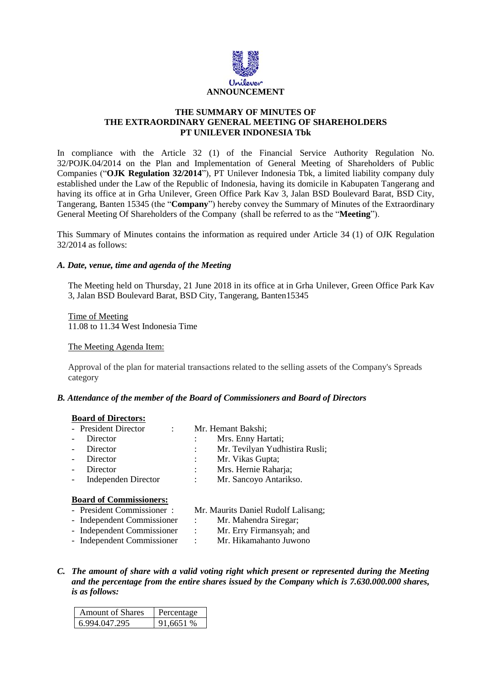

# **THE SUMMARY OF MINUTES OF THE EXTRAORDINARY GENERAL MEETING OF SHAREHOLDERS PT UNILEVER INDONESIA Tbk**

In compliance with the Article 32 (1) of the Financial Service Authority Regulation No. 32/POJK.04/2014 on the Plan and Implementation of General Meeting of Shareholders of Public Companies ("**OJK Regulation 32/2014**"), PT Unilever Indonesia Tbk, a limited liability company duly established under the Law of the Republic of Indonesia, having its domicile in Kabupaten Tangerang and having its office at in Grha Unilever, Green Office Park Kav 3, Jalan BSD Boulevard Barat, BSD City, Tangerang, Banten 15345 (the "**Company**") hereby convey the Summary of Minutes of the Extraordinary General Meeting Of Shareholders of the Company (shall be referred to as the "**Meeting**").

This Summary of Minutes contains the information as required under Article 34 (1) of OJK Regulation 32/2014 as follows:

# *A. Date, venue, time and agenda of the Meeting*

The Meeting held on Thursday, 21 June 2018 in its office at in Grha Unilever, Green Office Park Kav 3, Jalan BSD Boulevard Barat, BSD City, Tangerang, Banten15345

Time of Meeting 11.08 to 11.34 West Indonesia Time

The Meeting Agenda Item:

Approval of the plan for material transactions related to the selling assets of the Company's Spreads category

## *B. Attendance of the member of the Board of Commissioners and Board of Directors*

#### **Board of Directors:**

|        | - President Director           |  | Mr. Hemant Bakshi; |                                |  |  |  |
|--------|--------------------------------|--|--------------------|--------------------------------|--|--|--|
| $\sim$ | Director                       |  |                    | Mrs. Enny Hartati;             |  |  |  |
| $\sim$ | Director                       |  |                    | Mr. Tevilyan Yudhistira Rusli; |  |  |  |
| $\sim$ | Director                       |  |                    | Mr. Vikas Gupta;               |  |  |  |
|        | Director                       |  |                    | Mrs. Hernie Raharja;           |  |  |  |
| $\sim$ | <b>Independen Director</b>     |  |                    | Mr. Sancoyo Antarikso.         |  |  |  |
|        | <b>Board of Commissioners:</b> |  |                    |                                |  |  |  |

- President Commissioner : Mr. Maurits Daniel Rudolf Lalisang;
	-
- Independent Commissioner : Mr. Mahendra Siregar; - Independent Commissioner : Mr. Erry Firmansyah; and
	-
- Independent Commissioner : Mr. Hikamahanto Juwono
	-
- *C. The amount of share with a valid voting right which present or represented during the Meeting and the percentage from the entire shares issued by the Company which is 7.630.000.000 shares, is as follows:*

| <b>Amount of Shares</b> | Percentage |
|-------------------------|------------|
| 6.994.047.295           | 91.6651 %  |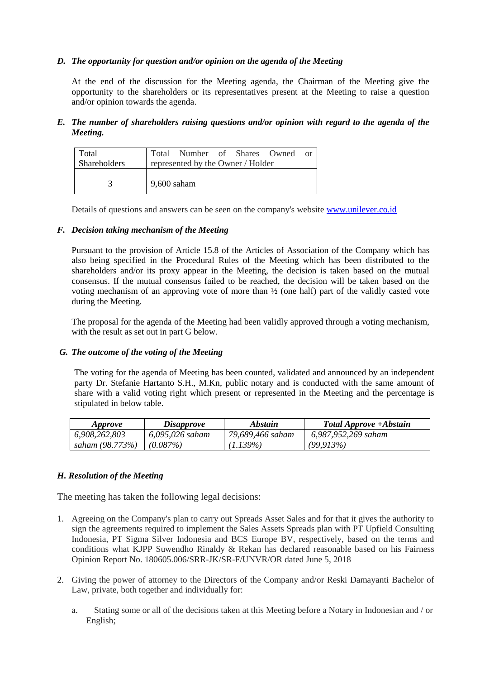# *D. The opportunity for question and/or opinion on the agenda of the Meeting*

At the end of the discussion for the Meeting agenda, the Chairman of the Meeting give the opportunity to the shareholders or its representatives present at the Meeting to raise a question and/or opinion towards the agenda.

*E. The number of shareholders raising questions and/or opinion with regard to the agenda of the Meeting.*

| Total<br><b>Shareholders</b> |                                   | Total Number of Shares Owned or |  |  |  |  |
|------------------------------|-----------------------------------|---------------------------------|--|--|--|--|
|                              | represented by the Owner / Holder |                                 |  |  |  |  |
|                              |                                   |                                 |  |  |  |  |
| 3                            | $9,600$ saham                     |                                 |  |  |  |  |
|                              |                                   |                                 |  |  |  |  |

Details of questions and answers can be seen on the company's website [www.unilever.co.id](http://www.unilever.co.id/)

## *F. Decision taking mechanism of the Meeting*

Pursuant to the provision of Article 15.8 of the Articles of Association of the Company which has also being specified in the Procedural Rules of the Meeting which has been distributed to the shareholders and/or its proxy appear in the Meeting, the decision is taken based on the mutual consensus. If the mutual consensus failed to be reached, the decision will be taken based on the voting mechanism of an approving vote of more than ½ (one half) part of the validly casted vote during the Meeting.

The proposal for the agenda of the Meeting had been validly approved through a voting mechanism, with the result as set out in part G below.

## *G. The outcome of the voting of the Meeting*

The voting for the agenda of Meeting has been counted, validated and announced by an independent party Dr. Stefanie Hartanto S.H., M.Kn, public notary and is conducted with the same amount of share with a valid voting right which present or represented in the Meeting and the percentage is stipulated in below table.

| <i>Approve</i>  | <i>Disapprove</i> | <i><b>Abstain</b></i> | Total Approve +Abstain |
|-----------------|-------------------|-----------------------|------------------------|
| 6,908,262,803   | 6,095,026 saham   | 79,689,466 saham      | 6,987,952,269 saham    |
| saham (98.773%) | $(0.087\%)$       | $(1.139\%)$           | (99.913%)              |

## *H. Resolution of the Meeting*

The meeting has taken the following legal decisions:

- 1. Agreeing on the Company's plan to carry out Spreads Asset Sales and for that it gives the authority to sign the agreements required to implement the Sales Assets Spreads plan with PT Upfield Consulting Indonesia, PT Sigma Silver Indonesia and BCS Europe BV, respectively, based on the terms and conditions what KJPP Suwendho Rinaldy & Rekan has declared reasonable based on his Fairness Opinion Report No. 180605.006/SRR-JK/SR-F/UNVR/OR dated June 5, 2018
- 2. Giving the power of attorney to the Directors of the Company and/or Reski Damayanti Bachelor of Law, private, both together and individually for:
	- a. Stating some or all of the decisions taken at this Meeting before a Notary in Indonesian and / or English;